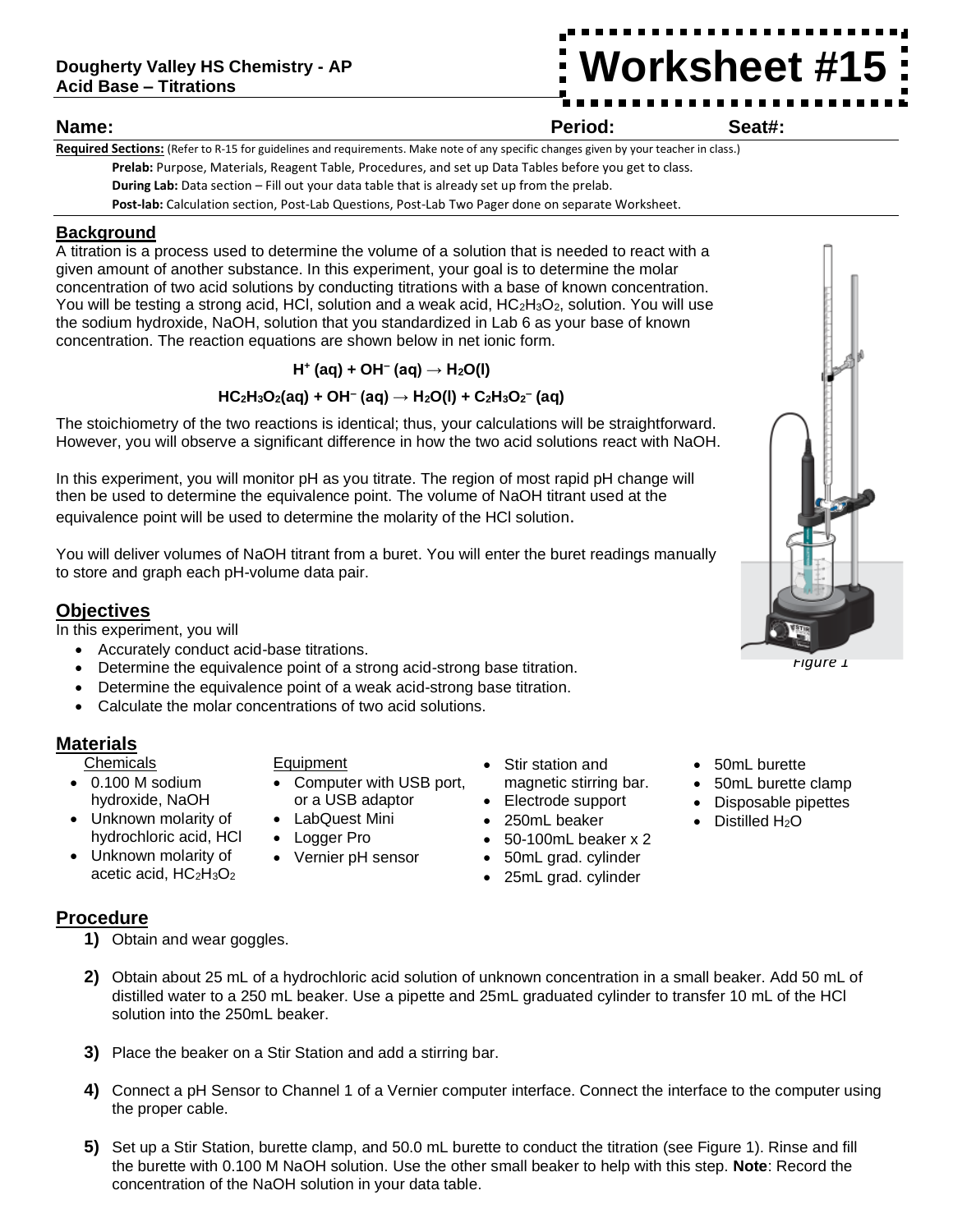**Worksheet #15**

**Name: Period: Seat#:**

**Required Sections:** (Refer to R-15 for guidelines and requirements. Make note of any specific changes given by your teacher in class.) **Prelab:** Purpose, Materials, Reagent Table, Procedures, and set up Data Tables before you get to class. **During Lab:** Data section – Fill out your data table that is already set up from the prelab. **Post-lab:** Calculation section, Post-Lab Questions, Post-Lab Two Pager done on separate Worksheet.

# **Background**

A titration is a process used to determine the volume of a solution that is needed to react with a given amount of another substance. In this experiment, your goal is to determine the molar concentration of two acid solutions by conducting titrations with a base of known concentration. You will be testing a strong acid, HCl, solution and a weak acid, HC<sub>2</sub>H<sub>3</sub>O<sub>2</sub>, solution. You will use the sodium hydroxide, NaOH, solution that you standardized in Lab 6 as your base of known concentration. The reaction equations are shown below in net ionic form.

**H<sup>+</sup> (aq) + OH– (aq) → H2O(l)**

# **HC2H3O2(aq) + OH– (aq) → H2O(l) + C2H3O<sup>2</sup> – (aq)**

The stoichiometry of the two reactions is identical; thus, your calculations will be straightforward. However, you will observe a significant difference in how the two acid solutions react with NaOH.

In this experiment, you will monitor pH as you titrate. The region of most rapid pH change will then be used to determine the equivalence point. The volume of NaOH titrant used at the equivalence point will be used to determine the molarity of the HCl solution.

You will deliver volumes of NaOH titrant from a buret. You will enter the buret readings manually to store and graph each pH-volume data pair.

# **Objectives**

In this experiment, you will

- Accurately conduct acid-base titrations.
- Determine the equivalence point of a strong acid-strong base titration.
- Determine the equivalence point of a weak acid-strong base titration.
- Calculate the molar concentrations of two acid solutions.

# **Materials**

**Procedure**

- Chemicals
- 0.100 M sodium hydroxide, NaOH
- Unknown molarity of hydrochloric acid, HCl
- Unknown molarity of acetic acid, HC2H3O<sup>2</sup>

**1)** Obtain and wear goggles.

#### Equipment

- Computer with USB port, or a USB adaptor
- LabQuest Mini
- Logger Pro
- Vernier pH sensor
- Stir station and magnetic stirring bar.
- Electrode support
- 250mL beaker
- 50-100mL beaker x 2
- 50mL grad. cylinder
- 25mL grad. cylinder
- 50mL burette
- 50mL burette clamp
- Disposable pipettes
- Distilled  $H_2O$

- **2)** Obtain about 25 mL of a hydrochloric acid solution of unknown concentration in a small beaker. Add 50 mL of distilled water to a 250 mL beaker. Use a pipette and 25mL graduated cylinder to transfer 10 mL of the HCl solution into the 250mL beaker
- **3)** Place the beaker on a Stir Station and add a stirring bar.
- **4)** Connect a pH Sensor to Channel 1 of a Vernier computer interface. Connect the interface to the computer using the proper cable.
- **5)** Set up a Stir Station, burette clamp, and 50.0 mL burette to conduct the titration (see Figure 1). Rinse and fill the burette with 0.100 M NaOH solution. Use the other small beaker to help with this step. **Note**: Record the concentration of the NaOH solution in your data table.